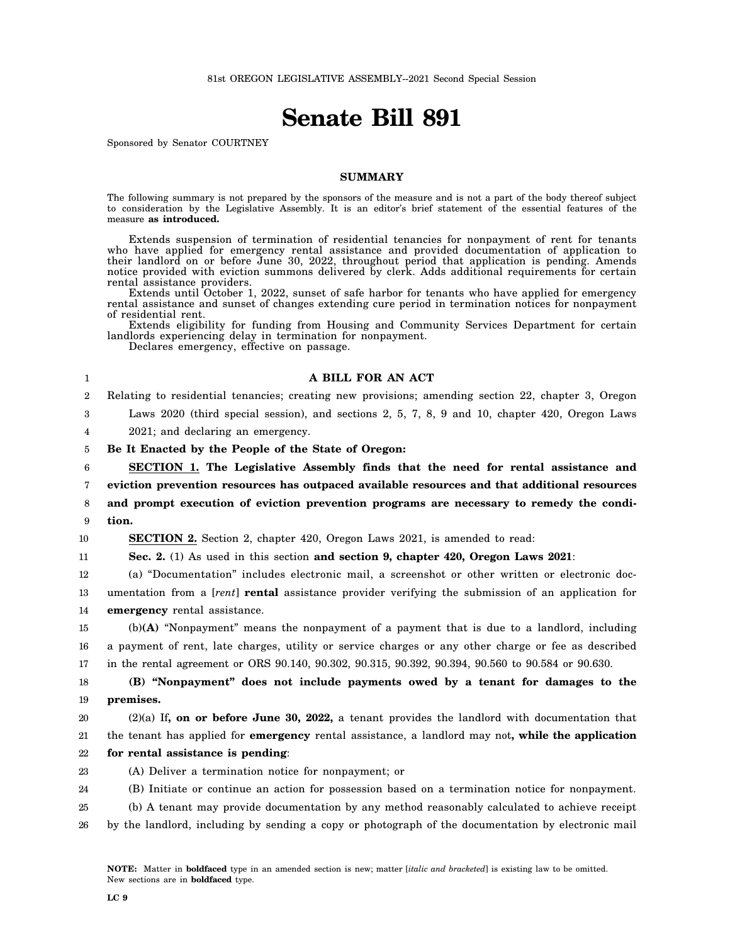## **Senate Bill 891**

Sponsored by Senator COURTNEY

## **SUMMARY**

The following summary is not prepared by the sponsors of the measure and is not a part of the body thereof subject to consideration by the Legislative Assembly. It is an editor's brief statement of the essential features of the measure **as introduced.**

Extends suspension of termination of residential tenancies for nonpayment of rent for tenants who have applied for emergency rental assistance and provided documentation of application to their landlord on or before June 30, 2022, throughout period that application is pending. Amends notice provided with eviction summons delivered by clerk. Adds additional requirements for certain rental assistance providers.

Extends until October 1, 2022, sunset of safe harbor for tenants who have applied for emergency rental assistance and sunset of changes extending cure period in termination notices for nonpayment of residential rent.

Extends eligibility for funding from Housing and Community Services Department for certain landlords experiencing delay in termination for nonpayment.

Declares emergency, effective on passage.

| 1                | A BILL FOR AN ACT                                                                                        |
|------------------|----------------------------------------------------------------------------------------------------------|
| $\boldsymbol{2}$ | Relating to residential tenancies; creating new provisions; amending section 22, chapter 3, Oregon       |
| 3                | Laws 2020 (third special session), and sections 2, 5, 7, 8, 9 and 10, chapter 420, Oregon Laws           |
| 4                | 2021; and declaring an emergency.                                                                        |
| 5                | Be It Enacted by the People of the State of Oregon:                                                      |
| 6                | <b>SECTION 1.</b> The Legislative Assembly finds that the need for rental assistance and                 |
| 7                | eviction prevention resources has outpaced available resources and that additional resources             |
| 8                | and prompt execution of eviction prevention programs are necessary to remedy the condi-                  |
| 9                | tion.                                                                                                    |
| 10               | <b>SECTION 2.</b> Section 2, chapter 420, Oregon Laws 2021, is amended to read:                          |
| 11               | Sec. 2. (1) As used in this section and section 9, chapter 420, Oregon Laws 2021:                        |
| 12               | (a) "Documentation" includes electronic mail, a screenshot or other written or electronic doc-           |
| 13               | umentation from a [rent] rental assistance provider verifying the submission of an application for       |
| 14               | <b>emergency</b> rental assistance.                                                                      |
| 15               | $(b)(A)$ "Nonpayment" means the nonpayment of a payment that is due to a landlord, including             |
| 16               | a payment of rent, late charges, utility or service charges or any other charge or fee as described      |
| 17               | in the rental agreement or ORS 90.140, 90.302, 90.315, 90.392, 90.394, 90.560 to 90.584 or 90.630.       |
| 18               | (B) "Nonpayment" does not include payments owed by a tenant for damages to the                           |
| 19               | premises.                                                                                                |
| 20               | $(2)(a)$ If, on or before June 30, 2022, a tenant provides the landlord with documentation that          |
| $21\,$           | the tenant has applied for <b>emergency</b> rental assistance, a landlord may not, while the application |
| 22               | for rental assistance is pending:                                                                        |
| 23               | (A) Deliver a termination notice for nonpayment; or                                                      |
| 24               | (B) Initiate or continue an action for possession based on a termination notice for nonpayment.          |
| 25               | (b) A tenant may provide documentation by any method reasonably calculated to achieve receipt            |
| 26               | by the landlord, including by sending a copy or photograph of the documentation by electronic mail       |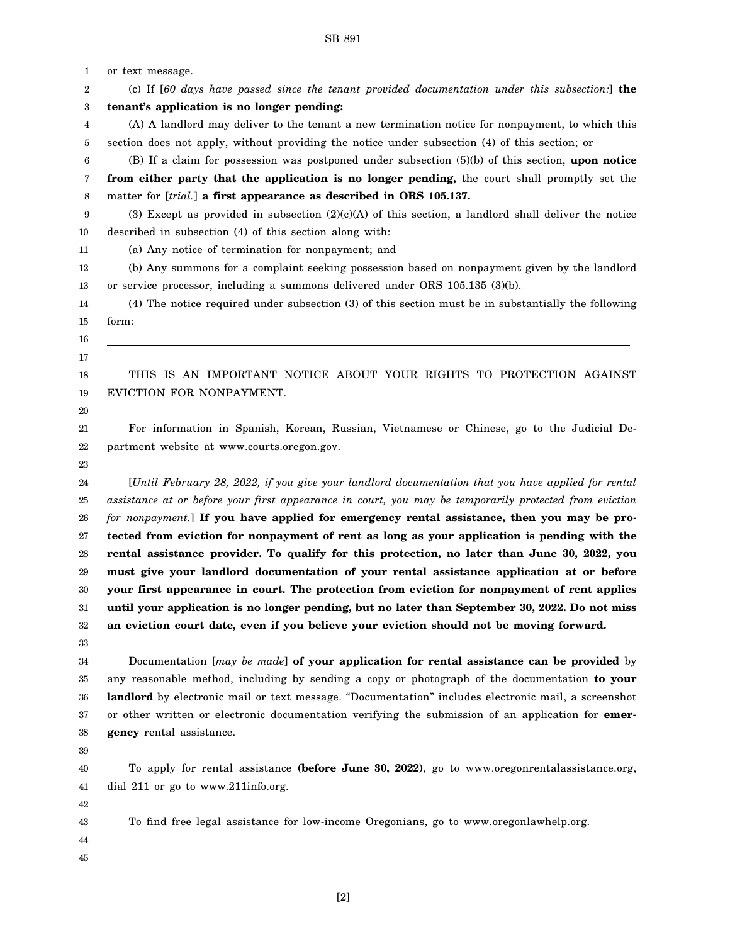1 2 3 4 5 6 7 8 9 10 11 12 13 14 15 16 17 18 19 20 21 22 23 24 25 26 27 28 29 30 31 32 33 34 35 36 37 38 39 40 41 42 43 44 45 or text message. (c) If [*60 days have passed since the tenant provided documentation under this subsection:*] **the tenant's application is no longer pending:** (A) A landlord may deliver to the tenant a new termination notice for nonpayment, to which this section does not apply, without providing the notice under subsection (4) of this section; or (B) If a claim for possession was postponed under subsection (5)(b) of this section, **upon notice from either party that the application is no longer pending,** the court shall promptly set the matter for [*trial.*] **a first appearance as described in ORS 105.137.** (3) Except as provided in subsection  $(2)(c)(A)$  of this section, a landlord shall deliver the notice described in subsection (4) of this section along with: (a) Any notice of termination for nonpayment; and (b) Any summons for a complaint seeking possession based on nonpayment given by the landlord or service processor, including a summons delivered under ORS 105.135 (3)(b). (4) The notice required under subsection (3) of this section must be in substantially the following form: THIS IS AN IMPORTANT NOTICE ABOUT YOUR RIGHTS TO PROTECTION AGAINST EVICTION FOR NONPAYMENT. For information in Spanish, Korean, Russian, Vietnamese or Chinese, go to the Judicial Department website at www.courts.oregon.gov. [*Until February 28, 2022, if you give your landlord documentation that you have applied for rental assistance at or before your first appearance in court, you may be temporarily protected from eviction for nonpayment.*] **If you have applied for emergency rental assistance, then you may be protected from eviction for nonpayment of rent as long as your application is pending with the rental assistance provider. To qualify for this protection, no later than June 30, 2022, you must give your landlord documentation of your rental assistance application at or before your first appearance in court. The protection from eviction for nonpayment of rent applies until your application is no longer pending, but no later than September 30, 2022. Do not miss an eviction court date, even if you believe your eviction should not be moving forward.** Documentation [*may be made*] **of your application for rental assistance can be provided** by any reasonable method, including by sending a copy or photograph of the documentation **to your landlord** by electronic mail or text message. "Documentation" includes electronic mail, a screenshot or other written or electronic documentation verifying the submission of an application for **emergency** rental assistance. To apply for rental assistance **(before June 30, 2022)**, go to www.oregonrentalassistance.org, dial 211 or go to www.211info.org. To find free legal assistance for low-income Oregonians, go to www.oregonlawhelp.org.

SB 891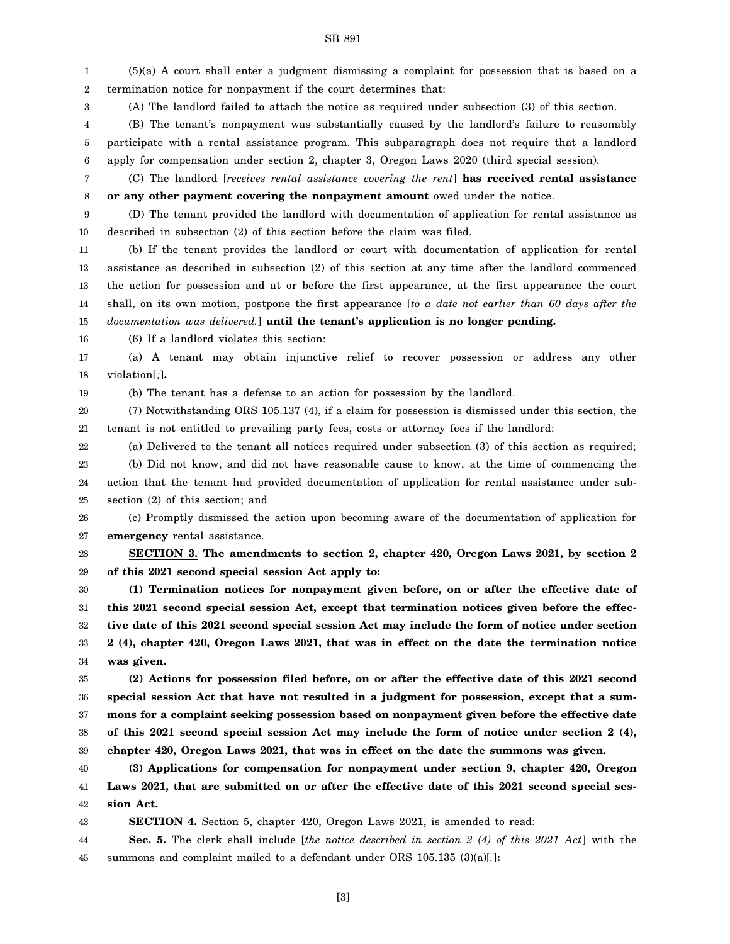1 2 3 (5)(a) A court shall enter a judgment dismissing a complaint for possession that is based on a termination notice for nonpayment if the court determines that: (A) The landlord failed to attach the notice as required under subsection (3) of this section.

4 5 6 (B) The tenant's nonpayment was substantially caused by the landlord's failure to reasonably participate with a rental assistance program. This subparagraph does not require that a landlord apply for compensation under section 2, chapter 3, Oregon Laws 2020 (third special session).

7 8 (C) The landlord [*receives rental assistance covering the rent*] **has received rental assistance or any other payment covering the nonpayment amount** owed under the notice.

9 10 (D) The tenant provided the landlord with documentation of application for rental assistance as described in subsection (2) of this section before the claim was filed.

11 12 13 14 15 (b) If the tenant provides the landlord or court with documentation of application for rental assistance as described in subsection (2) of this section at any time after the landlord commenced the action for possession and at or before the first appearance, at the first appearance the court shall, on its own motion, postpone the first appearance [*to a date not earlier than 60 days after the documentation was delivered.*] **until the tenant's application is no longer pending.**

16 (6) If a landlord violates this section:

17 18 (a) A tenant may obtain injunctive relief to recover possession or address any other violation[*;*]**.**

19 (b) The tenant has a defense to an action for possession by the landlord.

20 21 (7) Notwithstanding ORS 105.137 (4), if a claim for possession is dismissed under this section, the tenant is not entitled to prevailing party fees, costs or attorney fees if the landlord:

22 23 24 25 (a) Delivered to the tenant all notices required under subsection (3) of this section as required; (b) Did not know, and did not have reasonable cause to know, at the time of commencing the action that the tenant had provided documentation of application for rental assistance under subsection (2) of this section; and

26 27 (c) Promptly dismissed the action upon becoming aware of the documentation of application for **emergency** rental assistance.

28 29 **SECTION 3. The amendments to section 2, chapter 420, Oregon Laws 2021, by section 2 of this 2021 second special session Act apply to:**

30 31 32 33 34 **(1) Termination notices for nonpayment given before, on or after the effective date of this 2021 second special session Act, except that termination notices given before the effective date of this 2021 second special session Act may include the form of notice under section 2 (4), chapter 420, Oregon Laws 2021, that was in effect on the date the termination notice was given.**

35 36 37 38 39 **(2) Actions for possession filed before, on or after the effective date of this 2021 second special session Act that have not resulted in a judgment for possession, except that a summons for a complaint seeking possession based on nonpayment given before the effective date of this 2021 second special session Act may include the form of notice under section 2 (4), chapter 420, Oregon Laws 2021, that was in effect on the date the summons was given.**

40 41 42 **(3) Applications for compensation for nonpayment under section 9, chapter 420, Oregon Laws 2021, that are submitted on or after the effective date of this 2021 second special session Act.**

43 **SECTION 4.** Section 5, chapter 420, Oregon Laws 2021, is amended to read:

44 45 **Sec. 5.** The clerk shall include [*the notice described in section 2 (4) of this 2021 Act*] with the summons and complaint mailed to a defendant under ORS 105.135 (3)(a)[*.*]**:**

SB 891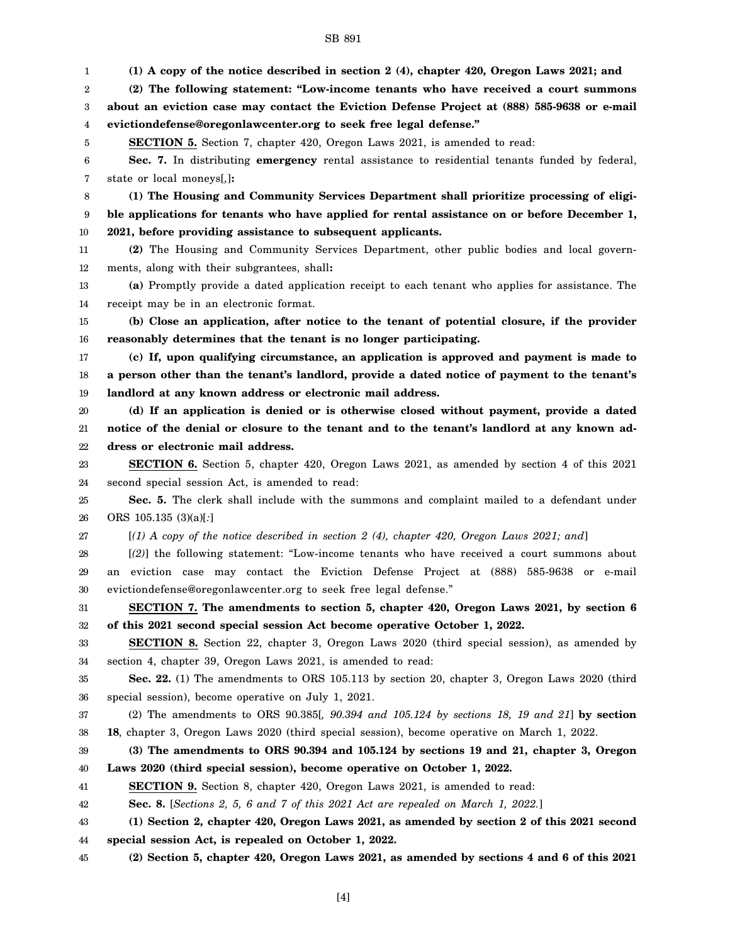1 2 3 4 5 6 7 8 9 10 11 12 13 14 15 16 17 18 19 20 21 22 23 24 25 26 27 28 29 30 31 32 33 34 35 36 37 38 39 40 41 42 43 44 45 **(1) A copy of the notice described in section 2 (4), chapter 420, Oregon Laws 2021; and (2) The following statement: "Low-income tenants who have received a court summons about an eviction case may contact the Eviction Defense Project at (888) 585-9638 or e-mail evictiondefense@oregonlawcenter.org to seek free legal defense." SECTION 5.** Section 7, chapter 420, Oregon Laws 2021, is amended to read: **Sec. 7.** In distributing **emergency** rental assistance to residential tenants funded by federal, state or local moneys[*,*]**: (1) The Housing and Community Services Department shall prioritize processing of eligible applications for tenants who have applied for rental assistance on or before December 1, 2021, before providing assistance to subsequent applicants. (2)** The Housing and Community Services Department, other public bodies and local governments, along with their subgrantees, shall**: (a)** Promptly provide a dated application receipt to each tenant who applies for assistance. The receipt may be in an electronic format. **(b) Close an application, after notice to the tenant of potential closure, if the provider reasonably determines that the tenant is no longer participating. (c) If, upon qualifying circumstance, an application is approved and payment is made to a person other than the tenant's landlord, provide a dated notice of payment to the tenant's landlord at any known address or electronic mail address. (d) If an application is denied or is otherwise closed without payment, provide a dated notice of the denial or closure to the tenant and to the tenant's landlord at any known address or electronic mail address. SECTION 6.** Section 5, chapter 420, Oregon Laws 2021, as amended by section 4 of this 2021 second special session Act, is amended to read: **Sec. 5.** The clerk shall include with the summons and complaint mailed to a defendant under ORS 105.135 (3)(a)[*:*] [*(1) A copy of the notice described in section 2 (4), chapter 420, Oregon Laws 2021; and*] [*(2)*] the following statement: "Low-income tenants who have received a court summons about an eviction case may contact the Eviction Defense Project at (888) 585-9638 or e-mail evictiondefense@oregonlawcenter.org to seek free legal defense." **SECTION 7. The amendments to section 5, chapter 420, Oregon Laws 2021, by section 6 of this 2021 second special session Act become operative October 1, 2022. SECTION 8.** Section 22, chapter 3, Oregon Laws 2020 (third special session), as amended by section 4, chapter 39, Oregon Laws 2021, is amended to read: **Sec. 22.** (1) The amendments to ORS 105.113 by section 20, chapter 3, Oregon Laws 2020 (third special session), become operative on July 1, 2021. (2) The amendments to ORS 90.385[*, 90.394 and 105.124 by sections 18, 19 and 21*] **by section 18**, chapter 3, Oregon Laws 2020 (third special session), become operative on March 1, 2022. **(3) The amendments to ORS 90.394 and 105.124 by sections 19 and 21, chapter 3, Oregon Laws 2020 (third special session), become operative on October 1, 2022. SECTION 9.** Section 8, chapter 420, Oregon Laws 2021, is amended to read: **Sec. 8.** [*Sections 2, 5, 6 and 7 of this 2021 Act are repealed on March 1, 2022.*] **(1) Section 2, chapter 420, Oregon Laws 2021, as amended by section 2 of this 2021 second special session Act, is repealed on October 1, 2022. (2) Section 5, chapter 420, Oregon Laws 2021, as amended by sections 4 and 6 of this 2021**

## SB 891